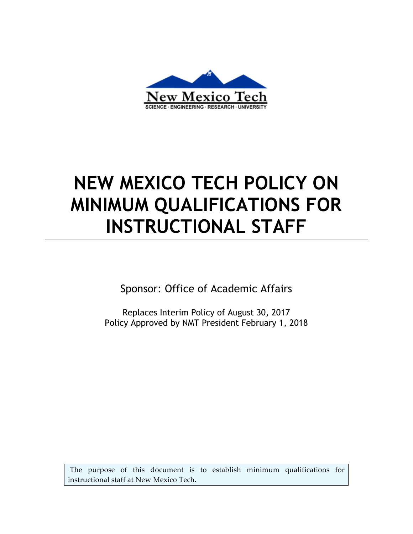

## **NEW MEXICO TECH POLICY ON MINIMUM QUALIFICATIONS FOR INSTRUCTIONAL STAFF**

Sponsor: Office of Academic Affairs

Replaces Interim Policy of August 30, 2017 Policy Approved by NMT President February 1, 2018

The purpose of this document is to establish minimum qualifications for instructional staff at New Mexico Tech.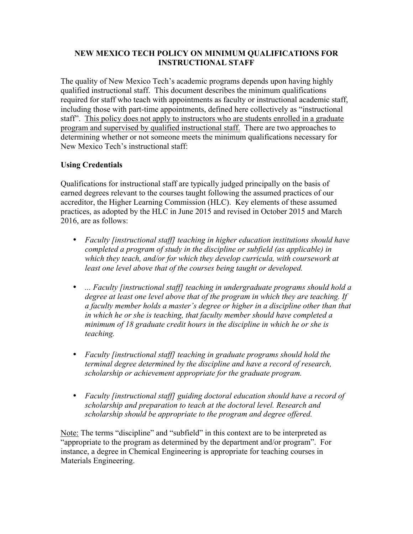## **NEW MEXICO TECH POLICY ON MINIMUM QUALIFICATIONS FOR INSTRUCTIONAL STAFF**

The quality of New Mexico Tech's academic programs depends upon having highly qualified instructional staff. This document describes the minimum qualifications required for staff who teach with appointments as faculty or instructional academic staff, including those with part-time appointments, defined here collectively as "instructional staff". This policy does not apply to instructors who are students enrolled in a graduate program and supervised by qualified instructional staff. There are two approaches to determining whether or not someone meets the minimum qualifications necessary for New Mexico Tech's instructional staff:

## **Using Credentials**

Qualifications for instructional staff are typically judged principally on the basis of earned degrees relevant to the courses taught following the assumed practices of our accreditor, the Higher Learning Commission (HLC). Key elements of these assumed practices, as adopted by the HLC in June 2015 and revised in October 2015 and March 2016, are as follows:

- *Faculty [instructional staff] teaching in higher education institutions should have completed a program of study in the discipline or subfield (as applicable) in which they teach, and/or for which they develop curricula, with coursework at least one level above that of the courses being taught or developed.*
- *... Faculty [instructional staff] teaching in undergraduate programs should hold a degree at least one level above that of the program in which they are teaching. If a faculty member holds a master's degree or higher in a discipline other than that in which he or she is teaching, that faculty member should have completed a minimum of 18 graduate credit hours in the discipline in which he or she is teaching.*
- *Faculty [instructional staff] teaching in graduate programs should hold the terminal degree determined by the discipline and have a record of research, scholarship or achievement appropriate for the graduate program.*
- *Faculty [instructional staff] guiding doctoral education should have a record of scholarship and preparation to teach at the doctoral level. Research and scholarship should be appropriate to the program and degree offered.*

Note: The terms "discipline" and "subfield" in this context are to be interpreted as "appropriate to the program as determined by the department and/or program". For instance, a degree in Chemical Engineering is appropriate for teaching courses in Materials Engineering.